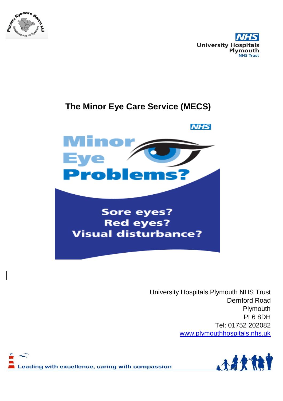



### **The Minor Eye Care Service (MECS)**



University Hospitals Plymouth NHS Trust Derriford Road Plymouth PL6 8DH Tel: 01752 202082 [www.plymouthhospitals.nhs.uk](http://www.plymouthhospitals.nhs.uk/)



Leading with excellence, caring with compassion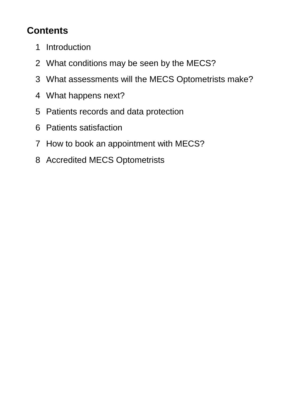# **Contents**

- Introduction
- What conditions may be seen by the MECS?
- What assessments will the MECS Optometrists make?
- What happens next?
- Patients records and data protection
- Patients satisfaction
- How to book an appointment with MECS?
- Accredited MECS Optometrists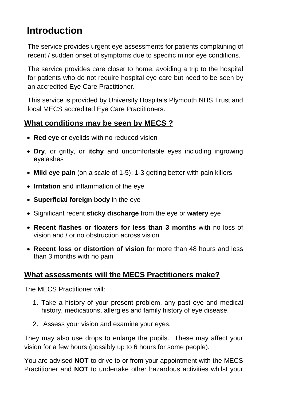## **Introduction**

The service provides urgent eye assessments for patients complaining of recent / sudden onset of symptoms due to specific minor eye conditions.

The service provides care closer to home, avoiding a trip to the hospital for patients who do not require hospital eye care but need to be seen by an accredited Eye Care Practitioner.

This service is provided by University Hospitals Plymouth NHS Trust and local MECS accredited Eye Care Practitioners.

### **What conditions may be seen by MECS ?**

- **Red eye** or eyelids with no reduced vision
- **Dry**, or gritty, or **itchy** and uncomfortable eyes including ingrowing eyelashes
- **Mild eye pain** (on a scale of 1-5): 1-3 getting better with pain killers
- **Irritation** and inflammation of the eye
- **Superficial foreign body** in the eye
- Significant recent **sticky discharge** from the eye or **watery** eye
- **Recent flashes or floaters for less than 3 months** with no loss of vision and / or no obstruction across vision
- **Recent loss or distortion of vision** for more than 48 hours and less than 3 months with no pain

### **What assessments will the MECS Practitioners make?**

The MECS Practitioner will:

- 1. Take a history of your present problem, any past eye and medical history, medications, allergies and family history of eye disease.
- 2. Assess your vision and examine your eyes.

They may also use drops to enlarge the pupils. These may affect your vision for a few hours (possibly up to 6 hours for some people).

You are advised **NOT** to drive to or from your appointment with the MECS Practitioner and **NOT** to undertake other hazardous activities whilst your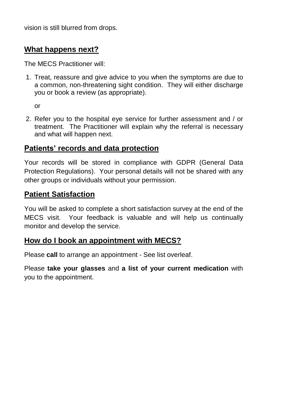vision is still blurred from drops.

#### **What happens next?**

The MECS Practitioner will:

1. Treat, reassure and give advice to you when the symptoms are due to a common, non-threatening sight condition. They will either discharge you or book a review (as appropriate).

or

2. Refer you to the hospital eye service for further assessment and / or treatment. The Practitioner will explain why the referral is necessary and what will happen next.

#### **Patients' records and data protection**

Your records will be stored in compliance with GDPR (General Data Protection Regulations). Your personal details will not be shared with any other groups or individuals without your permission.

#### **Patient Satisfaction**

You will be asked to complete a short satisfaction survey at the end of the MECS visit. Your feedback is valuable and will help us continually monitor and develop the service.

#### **How do I book an appointment with MECS?**

Please **call** to arrange an appointment - See list overleaf.

Please **take your glasses** and **a list of your current medication** with you to the appointment.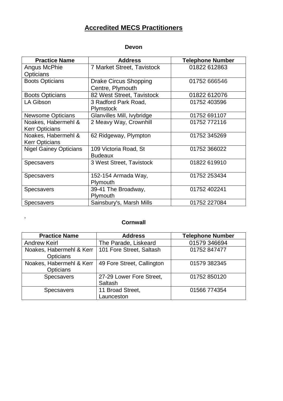#### **Accredited MECS Practitioners**

#### **Devon**

| <b>Practice Name</b>                         | <b>Address</b>                                   | <b>Telephone Number</b> |
|----------------------------------------------|--------------------------------------------------|-------------------------|
| Angus McPhie<br><b>Opticians</b>             | 7 Market Street, Tavistock                       | 01822 612863            |
| <b>Boots Opticians</b>                       | <b>Drake Circus Shopping</b><br>Centre, Plymouth | 01752 666546            |
| <b>Boots Opticians</b>                       | 82 West Street, Tavistock                        | 01822 612076            |
| LA Gibson                                    | 3 Radford Park Road,<br><b>Plymstock</b>         | 01752 403596            |
| <b>Newsome Opticians</b>                     | Glanvilles Mill, Ivybridge                       | 01752 691107            |
| Noakes, Habermehl &<br><b>Kerr Opticians</b> | 2 Meavy Way, Crownhill                           | 01752 772116            |
| Noakes, Habermehl &<br><b>Kerr Opticians</b> | 62 Ridgeway, Plympton                            | 01752 345269            |
| <b>Nigel Gainey Opticians</b>                | 109 Victoria Road, St<br><b>Budeaux</b>          | 01752 366022            |
| <b>Specsavers</b>                            | 3 West Street, Tavistock                         | 01822 619910            |
| <b>Specsavers</b>                            | 152-154 Armada Way,<br>Plymouth                  | 01752 253434            |
| <b>Specsavers</b>                            | 39-41 The Broadway,<br>Plymouth                  | 01752 402241            |
| <b>Specsavers</b>                            | Sainsbury's, Marsh Mills                         | 01752 227084            |

#### **Cornwall**

,

| <b>Practice Name</b>                         | <b>Address</b>                      | <b>Telephone Number</b> |
|----------------------------------------------|-------------------------------------|-------------------------|
| <b>Andrew Keirl</b>                          | The Parade, Liskeard                | 01579 346694            |
| Noakes, Habermehl & Kerr<br><b>Opticians</b> | 101 Fore Street, Saltash            | 01752 847477            |
| Noakes, Habermehl & Kerr<br>Opticians        | 49 Fore Street, Callington          | 01579 382345            |
| Specsavers                                   | 27-29 Lower Fore Street,<br>Saltash | 01752 850120            |
| <b>Specsavers</b>                            | 11 Broad Street,<br>Launceston      | 01566 774354            |